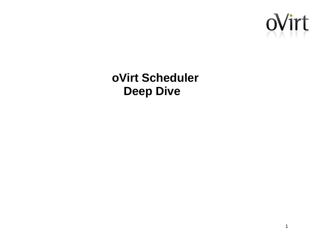

**oVirt Scheduler Deep Dive**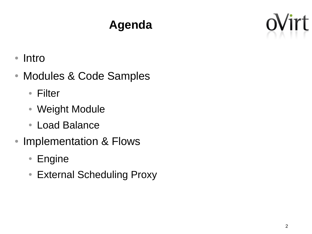# **Agenda**



- Intro
- Modules & Code Samples
	- Filter
	- Weight Module
	- Load Balance
- Implementation & Flows
	- Engine
	- External Scheduling Proxy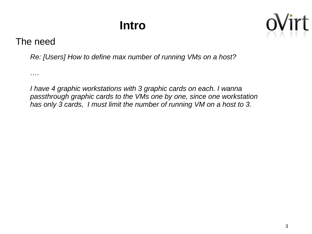# **Intro**



#### The need

*….*

*Re: [Users] How to define max number of running VMs on a host?*

*I have 4 graphic workstations with 3 graphic cards on each. I wanna passthrough graphic cards to the VMs one by one, since one workstation has only 3 cards, I must limit the number of running VM on a host to 3.*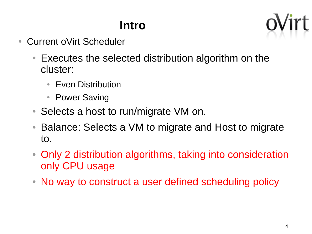# **Intro**

- Current oVirt Scheduler
	- Executes the selected distribution algorithm on the cluster:
		- Even Distribution
		- Power Saving
	- Selects a host to run/migrate VM on.
	- Balance: Selects a VM to migrate and Host to migrate to.
	- Only 2 distribution algorithms, taking into consideration only CPU usage
	- No way to construct a user defined scheduling policy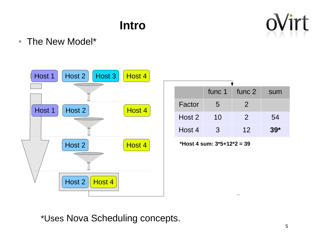# **Intro**



• The New Model\*



|        | func 1 | func 2        | sum   |
|--------|--------|---------------|-------|
| Factor | 5      | $\mathcal{P}$ |       |
| Host 2 | 10     | $\mathcal{P}$ | 54    |
| Host 4 | 3      | 12            | $39*$ |

**\*Host 4 sum: 3\*5+12\*2 = 39**

\*Uses Nova Scheduling concepts.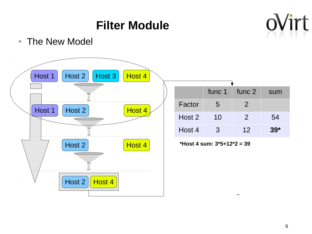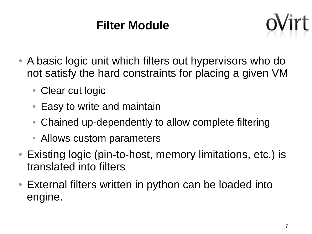## **Filter Module**



- A basic logic unit which filters out hypervisors who do not satisfy the hard constraints for placing a given VM
	- Clear cut logic
	- Easy to write and maintain
	- Chained up-dependently to allow complete filtering
	- Allows custom parameters
- Existing logic (pin-to-host, memory limitations, etc.) is translated into filters
- External filters written in python can be loaded into engine.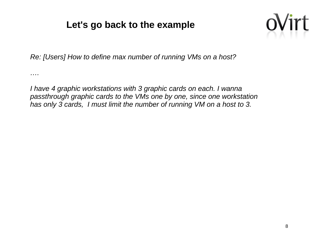#### **Let's go back to the example**



*Re: [Users] How to define max number of running VMs on a host?*

*….*

*I have 4 graphic workstations with 3 graphic cards on each. I wanna passthrough graphic cards to the VMs one by one, since one workstation has only 3 cards, I must limit the number of running VM on a host to 3.*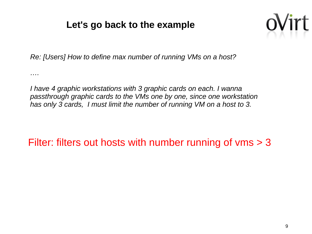#### **Let's go back to the example**



*Re: [Users] How to define max number of running VMs on a host?*

*….*

*I have 4 graphic workstations with 3 graphic cards on each. I wanna passthrough graphic cards to the VMs one by one, since one workstation has only 3 cards, I must limit the number of running VM on a host to 3.*

Filter: filters out hosts with number running of vms > 3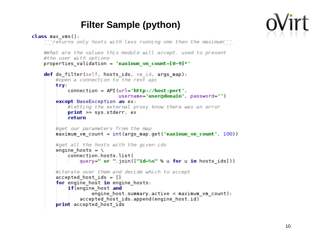

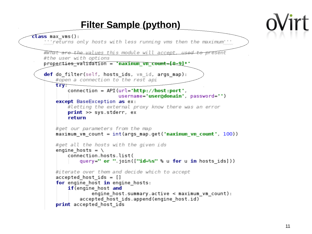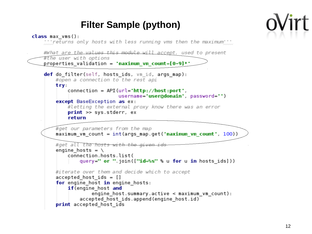

 $class max runs()$ :

" 'returns only hosts with less running vms then the maximum

```
#What are the values this module will accept, used to present
#the user with options
properties validation = 'maximum vm count=[0-9]*'
def do filter(self, hosts ids, vm id, args map):
    #open a connection to the rest api
    try.
        connection = API (url='http://host:port'.)username='user@domain' password='')
    except BaseException as ex:
        #letting the external proxy know there was an error
        print \gg sys. stderr, exreturn
    #get our parameters from the map
    maximum vm count = int(args map.get('maximum <math>vm</math> count', 100))#get all the hosts with the given id
    engine hosts = \setminusconnection.hosts.list(
            query=" or ".join(["id=%s" % u for u in hosts ids]))
    #iterate over them and decide which to accept
    accepted hostids = []for engine host in engine hosts:
        if(engine host and
                enqine host.summary.active < maximum vm count):accepted host ids.append(engine_host.id)
    print accepted host ids
```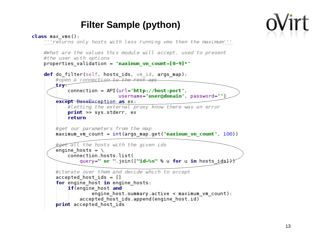

```
class max runs():
    " returns only hosts with less running vms then the maximum"
    #What are the values this module will accept, used to present
    #the user with options
    properties validation = 'maximum vm count=[0-9]*'
    def do filter(self, hosts ids, vm id, args map):
        #open a connection to the rest api
        try-
            connection = API (url='http://host:port'.)username='user@domain', password='')
        except BaseException as ex:
            #letting the external proxy know there was an error
            print \gg sys. stderr, exreturn
        #get our parameters from the map
        maximum vm count = int(args) map.get('maximum vm count', 100))
        #get all the hosts with the given ids
        engine hosts = \backslashconnection.hosts.list(
                query=" or ".join(["id=%s" % u for u in hosts ids}})
        #iterate over them and decide which to accept
        accepted hostids = []for engine host in engine hosts:
            if(engine host and
                    enqine host.summary.active < maximum vm count):accepted host ids.append(engine_host.id)
        print accepted host ids
```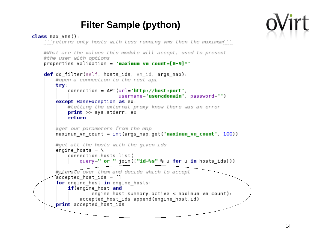```
class max runs():
    " returns only hosts with less running vms then the maximum"
    #What are the values this module will accept, used to present
    #the user with options
    properties validation = 'maximum vm count=[0-9]*'
    def do filter(self, hosts ids, vm id, args map):
        #open a connection to the rest api
        try.
            connection = API (url='http://host:port'.)username='user@domain' password='')
        except BaseException as ex:
            #letting the external proxy know there was an error
            print \gg sys. stderr, exreturn
        #get our parameters from the map
        maximum vm count = int(args) map.get('maximum vm count', 100))
        #get all the hosts with the given ids
        engine hosts = \setminusconnection hosts list(
                query=" or ".join(["id=%s" % u for u in hosts ids]))
        #iterate over them and decide which to accept
        \acute{a} ccepted host ids = []for engine host in engine hosts:
            if (engine host and
                    enqine host.summary.active < maximumvm wm count:
                accepted host ids.append(engine host.id)
        print accepted host ids
```
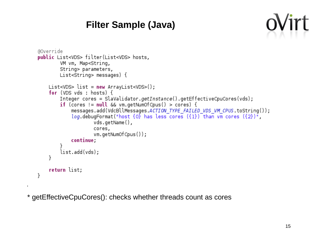#### **Filter Sample (Java)**



```
@Override
public List<VDS> filter(List<VDS> hosts,
        VM vm, Map<String,
        String> parameters,
        List<String> messages) {
    List<VDS> list = new ArrayList<VDS>();
    for (VDS vds : hosts) {
        Integer cores = SlaValidator.getInstance().getEffectiveCpuCores(vds);
        if (cores != null && vm.getNumOfCpus() > cores) {
            messages.add(VdcBllMessages.ACTION TYPE FAILED VDS VM CPUS.toString());
            log debugFormat("host \{0\} has less cores (\{1\}) than vm cores (\{2\})",
                    vds.getName(),
                    cores,
                    vm.getNumOfCpus());
            continue,
        list.add(vds);
    ł
    return list;
}
```
\* getEffectiveCpuCores(): checks whether threads count as cores

 $\mathbf{I}$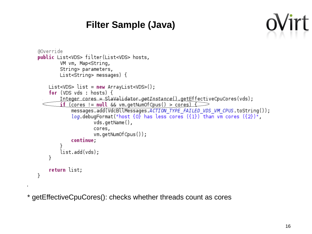#### **Filter Sample (Java)**



```
@Override
public List<VDS> filter(List<VDS> hosts,
        VM vm, Map<String,
        String> parameters,
        List<String> messages) {
    List<VDS> list = new ArrayList<VDS>();
    for (VDS vds : hosts) {
        Integer cores = SlaValidator.getInstance().getEffectiveCpuCores(vds);
           (cores != null & w \leq w \leq (rows 0) > cores)−if.
            messages add(VdcBllMessages ACTION TYPE FAILED VDS VM CPUS toString());
            log debugFormat("host \{0\} has less cores (\{1\}) than vm cores (\{2\})",
                    vds.getName(),
                    cores,
                    vm.getNumOfCpus());
            continue,
        list.add(vds);
    ł
    return list;
}
```
\* getEffectiveCpuCores(): checks whether threads count as cores

 $\mathbf{I}$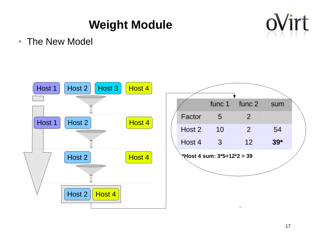## **Weight Module**



• The New Model

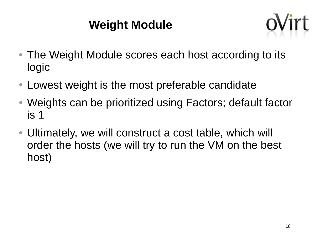### **Weight Module**



- The Weight Module scores each host according to its logic
- Lowest weight is the most preferable candidate
- Weights can be prioritized using Factors; default factor is 1
- Ultimately, we will construct a cost table, which will order the hosts (we will try to run the VM on the best host)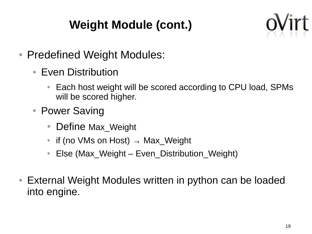# **Weight Module (cont.)**



- Predefined Weight Modules:
	- Even Distribution
		- Each host weight will be scored according to CPU load, SPMs will be scored higher.
	- Power Saving
		- Define Max Weight
		- if (no VMs on Host)  $\rightarrow$  Max Weight
		- Else (Max Weight Even Distribution Weight)
- External Weight Modules written in python can be loaded into engine.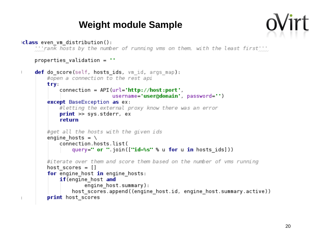#### **Weight module Sample**



```
(class even vm distribution();
    the rank hosts by the number of running vms on them, with the least first.
    properties validation = \cdotdef do score (self, hosts ids, vm id, args map):
\mathbb{L}#open a connection to the rest api
        try.
             connection = API (url='http://host:port'.)except BaseException as ex:
             #letting the external proxy know there was an error
             print \gg sys.stderr, ex
             return
        #get all the hosts with the given ids
        engine hosts = \backslashconnection hosts list(
                 query=" or " \text{join}([\text{"id}=\text{ss}" \text{`s} u \text{ for } u \text{ in hosts} ids]))#iterate over them and score them based on the number of vms running
        host scores = []for engine host in engine hosts:
             if(engine host and
                     engine host.summary):
                 host scores append((engine host.id, engine host.summary.active))
        print host scores
\mathbb{L}
```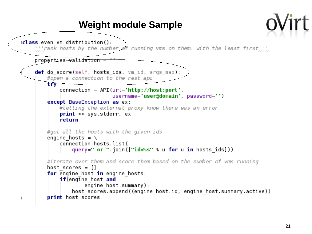#### **Weight module Sample**(class even ym distribution();  $\cdots$  rank hosts by the number of running vms on them, with the least first  $\cdots$ properties validation = def do score (self, hosts ids, vm id, args map): #open a connection to the rest api **try**  $connection = API (url='http://host:port'.)$ except BaseException as ex: #letting the external proxy know there was an error  $print \gg$  sys.stderr, ex return #get all the hosts with the given ids engine hosts =  $\setminus$ connection hosts list( query=" or "  $\text{join}([\text{"id}=\text{ss}" \text{`s} u \text{ for } u \text{ in hosts} ids]))$ #iterate over them and score them based on the number of vms running host scores  $= []$ for engine host in engine hosts: if(engine host and engine host.summary): host scores append((engine host.id, engine host.summary.active)) print host scores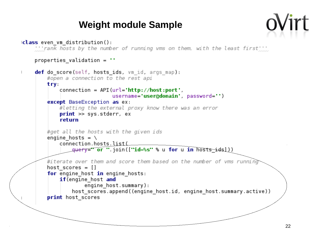#### **Weight module Sample**



```
(class even vm distribution();
    "''rank hosts by the number of running vms on them, with the least first'''
    properties validation = \cdotdef do score (self, hosts ids, vm id, args map):
        #open a connection to the rest api
        try.
            connection = API (url='http://host:port'.)except BaseException as ex:
            #letting the external proxy know there was an error
            print \gg sys.stderr, ex
            return
        #get all the hosts with the given ids
        engine hosts = \setminusconnection.hosts.list(
                query=" or ".join(["id=%s" % u for u in hosts_idsl))
        #iterate over them and score them based on the number of yms running
        host scores = []for engine host in engine hosts:
            if(engine host and
                    engine host.summary):
                host scores.append((engine host.id, engine host.summary.active))
        print host scores
```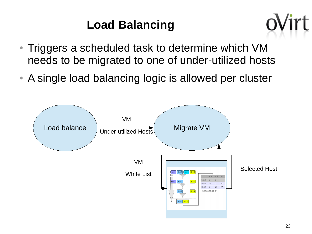## **Load Balancing**



- Triggers a scheduled task to determine which VM needs to be migrated to one of under-utilized hosts
- A single load balancing logic is allowed per cluster

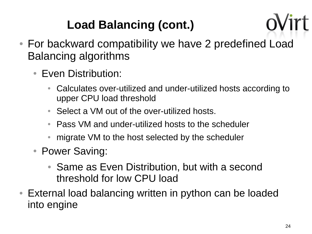# **Load Balancing (cont.)**

- For backward compatibility we have 2 predefined Load Balancing algorithms
	- Even Distribution:
		- Calculates over-utilized and under-utilized hosts according to upper CPU load threshold
		- Select a VM out of the over-utilized hosts.
		- Pass VM and under-utilized hosts to the scheduler
		- migrate VM to the host selected by the scheduler
	- Power Saving:
		- Same as Even Distribution, but with a second threshold for low CPU load
- External load balancing written in python can be loaded into engine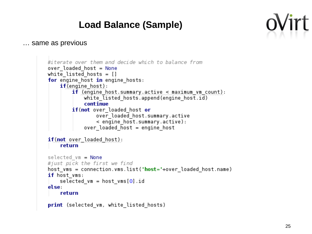#### **Load Balance (Sample)**



… same as previous

```
#iterate over them and decide which to balance from
over loaded host = None
white listed hosts = []for engine host in engine hosts:
    if(engine host):
        if (engine host summary active \leq maximum vm count):
            white listed hosts.append(engine host.id)
             cont inue
        if(not over loaded host or
                 over loaded host.summary.active
                 < engine host.summary.active):
            over loaded \overline{h}ost = engine host
if(not over loaded host):
    return
selected vm = None
#just pick the first we find
host vms = connection.vms.list("host="+over loaded host.name)
if host vms:
    selected vm = host \text{ vms}[\Theta].id
else:
    return
print (selected_vm, white_listed_hosts)
```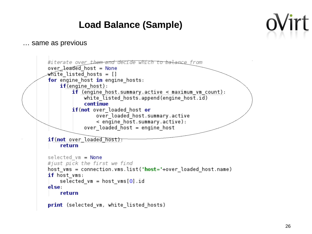#### **Load Balance (Sample)**



… same as previous

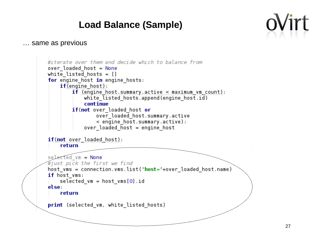#### **Load Balance (Sample)**



… same as previous

```
#iterate over them and decide which to balance from
over loaded host = None
white listed hosts = []
for engine host in engine hosts:
    if(engine host):
        if (engine host summary active \leq maximum vm count):
            white listed hosts.append(engine host.id)
             cont inue
        if(not over loaded host or
                 over loaded host.summary.active
                 < engine host.summary.active):
             over loaded \overline{h}ost = engine host
if(not over loaded host):
    return
selected vm = None
#just pick the first we find
host vms = connection.vms.list("host="+over loaded host.name)
if host vms:
    selected vm = host \text{ vms}[\Theta].id
else.
    return
print (selected_vm, white_listed_hosts)
```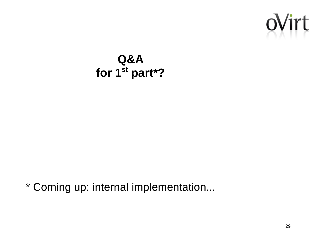

### **Q&A for 1st part\*?**

\* Coming up: internal implementation...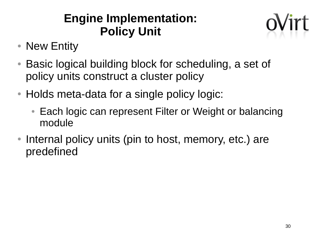### **Engine Implementation: Policy Unit**



- New Entity
- Basic logical building block for scheduling, a set of policy units construct a cluster policy
- Holds meta-data for a single policy logic:
	- Each logic can represent Filter or Weight or balancing module
- Internal policy units (pin to host, memory, etc.) are predefined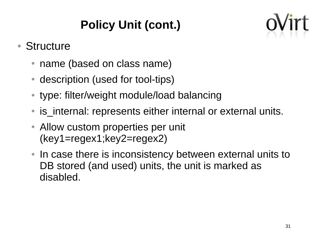# **Policy Unit (cont.)**



### ● Structure

- name (based on class name)
- description (used for tool-tips)
- type: filter/weight module/load balancing
- is internal: represents either internal or external units.
- Allow custom properties per unit (key1=regex1;key2=regex2)
- In case there is inconsistency between external units to DB stored (and used) units, the unit is marked as disabled.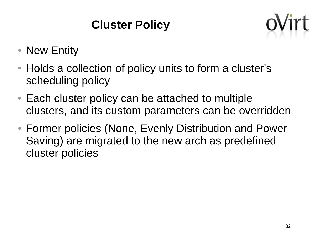# **Cluster Policy**



- New Entity
- Holds a collection of policy units to form a cluster's scheduling policy
- Each cluster policy can be attached to multiple clusters, and its custom parameters can be overridden
- Former policies (None, Evenly Distribution and Power Saving) are migrated to the new arch as predefined cluster policies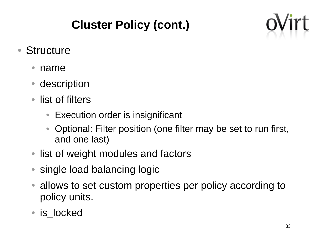# **Cluster Policy (cont.)**



- Structure
	- name
	- description
	- list of filters
		- Execution order is insignificant
		- Optional: Filter position (one filter may be set to run first, and one last)
	- list of weight modules and factors
	- single load balancing logic
	- allows to set custom properties per policy according to policy units.
	- is locked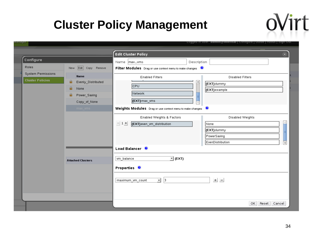### **Cluster Policy Management**



oVirt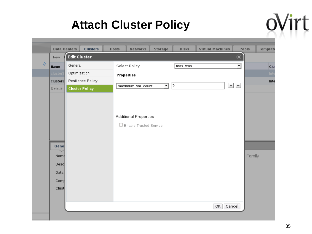### **Attach Cluster Policy**

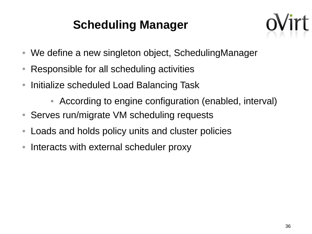### **Scheduling Manager**



- We define a new singleton object, SchedulingManager
- Responsible for all scheduling activities
- Initialize scheduled Load Balancing Task
	- According to engine configuration (enabled, interval)
- Serves run/migrate VM scheduling requests
- Loads and holds policy units and cluster policies
- Interacts with external scheduler proxy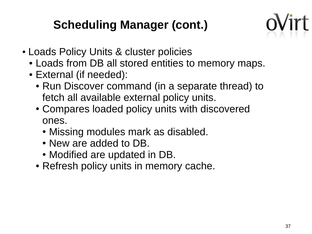### **Scheduling Manager (cont.)**



- Loads Policy Units & cluster policies
	- Loads from DB all stored entities to memory maps.
	- External (if needed):
		- Run Discover command (in a separate thread) to fetch all available external policy units.
		- Compares loaded policy units with discovered ones.
			- Missing modules mark as disabled.
			- New are added to DB.
			- Modified are updated in DB.
		- Refresh policy units in memory cache.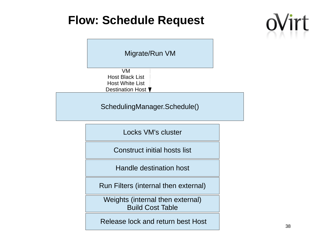### **Flow: Schedule Request**





Release lock and return best Host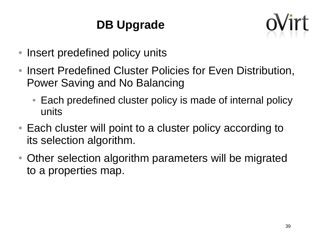# **DB Upgrade**



- Insert predefined policy units
- Insert Predefined Cluster Policies for Even Distribution, Power Saving and No Balancing
	- Each predefined cluster policy is made of internal policy units
- Each cluster will point to a cluster policy according to its selection algorithm.
- Other selection algorithm parameters will be migrated to a properties map.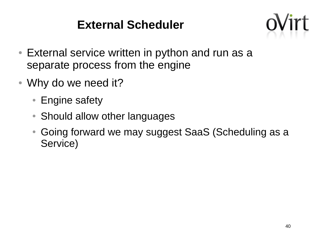### **External Scheduler**



- External service written in python and run as a separate process from the engine
- Why do we need it?
	- Engine safety
	- Should allow other languages
	- Going forward we may suggest SaaS (Scheduling as a Service)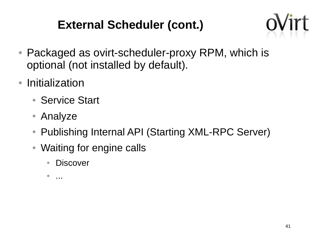### **External Scheduler (cont.)**



- Packaged as ovirt-scheduler-proxy RPM, which is optional (not installed by default).
- Initialization
	- Service Start
	- Analyze
	- Publishing Internal API (Starting XML-RPC Server)
	- Waiting for engine calls
		- Discover

 $\bullet$  ...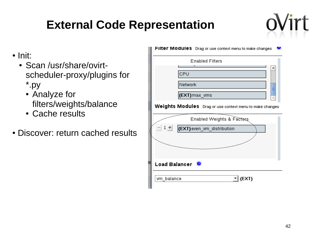## **External Code Representation**



- Init:
	- Scan /usr/share/ovirtscheduler-proxy/plugins for \*.py
		- Analyze for filters/weights/balance
		- Cache results
- Discover: return cached results

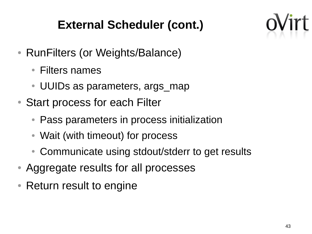## **External Scheduler (cont.)**



- RunFilters (or Weights/Balance)
	- Filters names
	- UUIDs as parameters, args map
- Start process for each Filter
	- Pass parameters in process initialization
	- Wait (with timeout) for process
	- Communicate using stdout/stderr to get results
- Aggregate results for all processes
- Return result to engine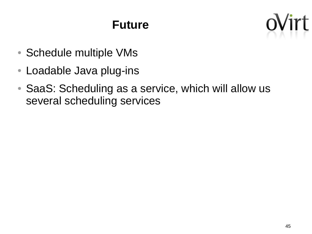### **Future**



- Schedule multiple VMs
- Loadable Java plug-ins
- SaaS: Scheduling as a service, which will allow us several scheduling services